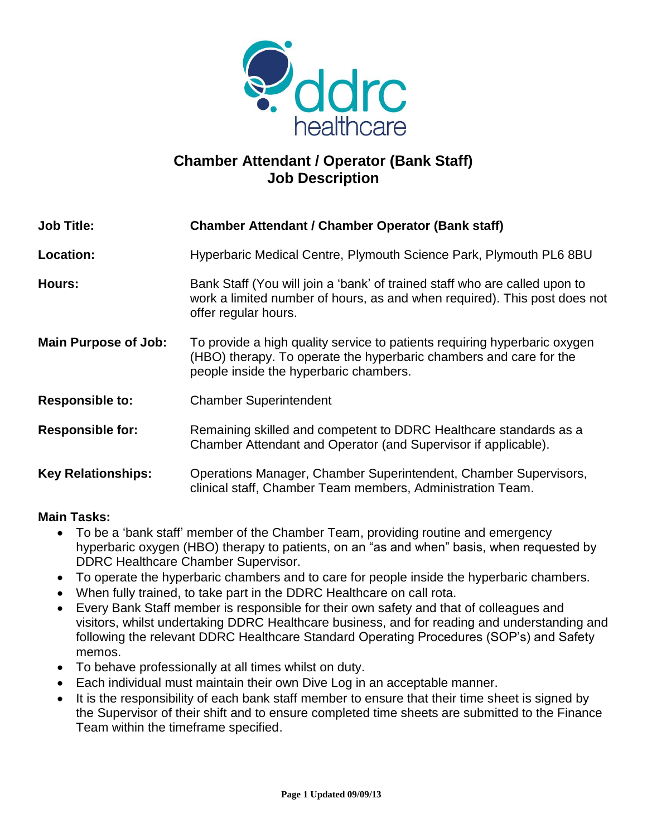

## **Chamber Attendant / Operator (Bank Staff) Job Description**

| <b>Job Title:</b>           | <b>Chamber Attendant / Chamber Operator (Bank staff)</b>                                                                                                                                  |
|-----------------------------|-------------------------------------------------------------------------------------------------------------------------------------------------------------------------------------------|
| <b>Location:</b>            | Hyperbaric Medical Centre, Plymouth Science Park, Plymouth PL6 8BU                                                                                                                        |
| Hours:                      | Bank Staff (You will join a 'bank' of trained staff who are called upon to<br>work a limited number of hours, as and when required). This post does not<br>offer regular hours.           |
| <b>Main Purpose of Job:</b> | To provide a high quality service to patients requiring hyperbaric oxygen<br>(HBO) therapy. To operate the hyperbaric chambers and care for the<br>people inside the hyperbaric chambers. |
| <b>Responsible to:</b>      | <b>Chamber Superintendent</b>                                                                                                                                                             |
| <b>Responsible for:</b>     | Remaining skilled and competent to DDRC Healthcare standards as a<br>Chamber Attendant and Operator (and Supervisor if applicable).                                                       |
| <b>Key Relationships:</b>   | Operations Manager, Chamber Superintendent, Chamber Supervisors,<br>clinical staff, Chamber Team members, Administration Team.                                                            |

## **Main Tasks:**

- To be a 'bank staff' member of the Chamber Team, providing routine and emergency hyperbaric oxygen (HBO) therapy to patients, on an "as and when" basis, when requested by DDRC Healthcare Chamber Supervisor.
- To operate the hyperbaric chambers and to care for people inside the hyperbaric chambers.
- When fully trained, to take part in the DDRC Healthcare on call rota.
- Every Bank Staff member is responsible for their own safety and that of colleagues and visitors, whilst undertaking DDRC Healthcare business, and for reading and understanding and following the relevant DDRC Healthcare Standard Operating Procedures (SOP's) and Safety memos.
- To behave professionally at all times whilst on duty.
- Each individual must maintain their own Dive Log in an acceptable manner.
- It is the responsibility of each bank staff member to ensure that their time sheet is signed by the Supervisor of their shift and to ensure completed time sheets are submitted to the Finance Team within the timeframe specified.